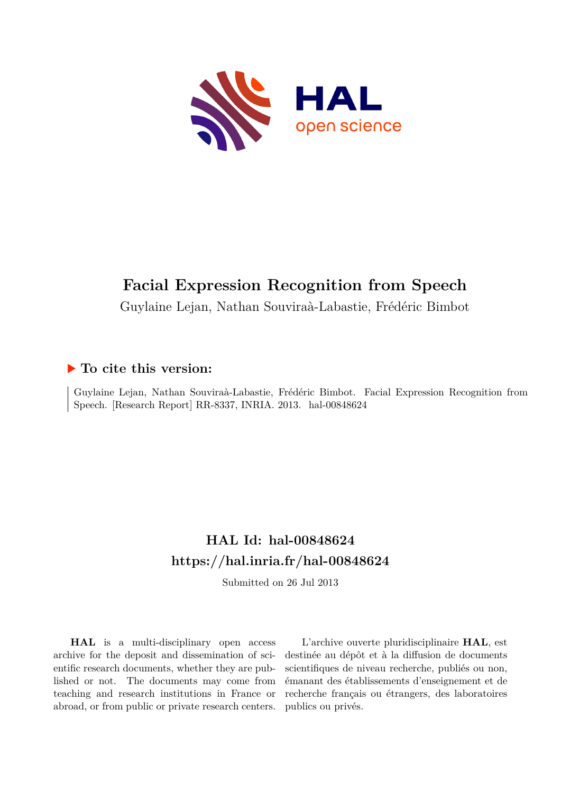

## **Facial Expression Recognition from Speech**

Guylaine Lejan, Nathan Souviraà-Labastie, Frédéric Bimbot

## **To cite this version:**

Guylaine Lejan, Nathan Souviraà-Labastie, Frédéric Bimbot. Facial Expression Recognition from Speech. [Research Report] RR-8337, INRIA. 2013. hal-00848624

## **HAL Id: hal-00848624 <https://hal.inria.fr/hal-00848624>**

Submitted on 26 Jul 2013

**HAL** is a multi-disciplinary open access archive for the deposit and dissemination of scientific research documents, whether they are published or not. The documents may come from teaching and research institutions in France or abroad, or from public or private research centers.

L'archive ouverte pluridisciplinaire **HAL**, est destinée au dépôt et à la diffusion de documents scientifiques de niveau recherche, publiés ou non, émanant des établissements d'enseignement et de recherche français ou étrangers, des laboratoires publics ou privés.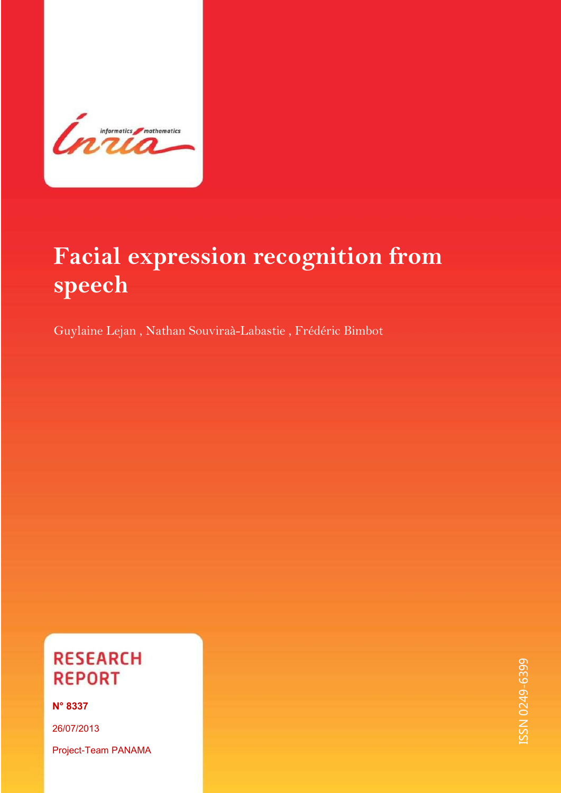

 $\overline{\phantom{a}}$ 

# **Facial expression recognition from speech**

Guylaine Lejan , Nathan Souviraà-Labastie , Frédéric Bimbot

## **RESEARCH REPORT**

**N° 8337** 

26/07/2013 Project-Team PANAMA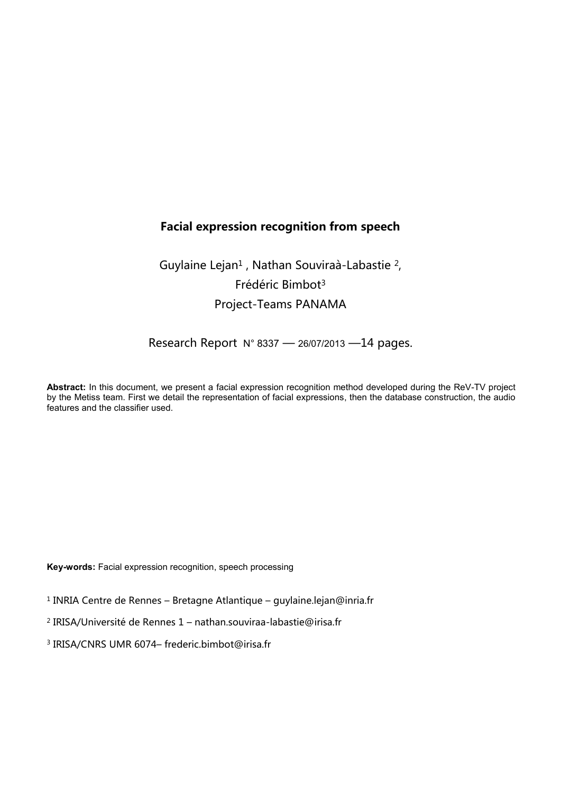## **Facial expression recognition from speech**

## Guylaine Lejan<sup>1</sup>, Nathan Souviraà-Labastie<sup>2</sup>, Frédéric Bimbot<sup>3</sup> Project-Teams PANAMA

Research Report  $N^{\circ}$  8337 - 26/07/2013 - 14 pages.

**Abstract:** In this document, we present a facial expression recognition method developed during the ReV-TV project by the Metiss team. First we detail the representation of facial expressions, then the database construction, the audio features and the classifier used.

**Key-words:** Facial expression recognition, speech processing

 $^1$  INRIA Centre de Rennes – Bretagne Atlantique – guylaine.lejan@inria.fr

<sup>2</sup> IRISA/Université de Rennes 1 – nathan.souviraa-labastie@irisa.fr

<sup>3</sup> IRISA/CNRS UMR 6074– frederic.bimbot@irisa.fr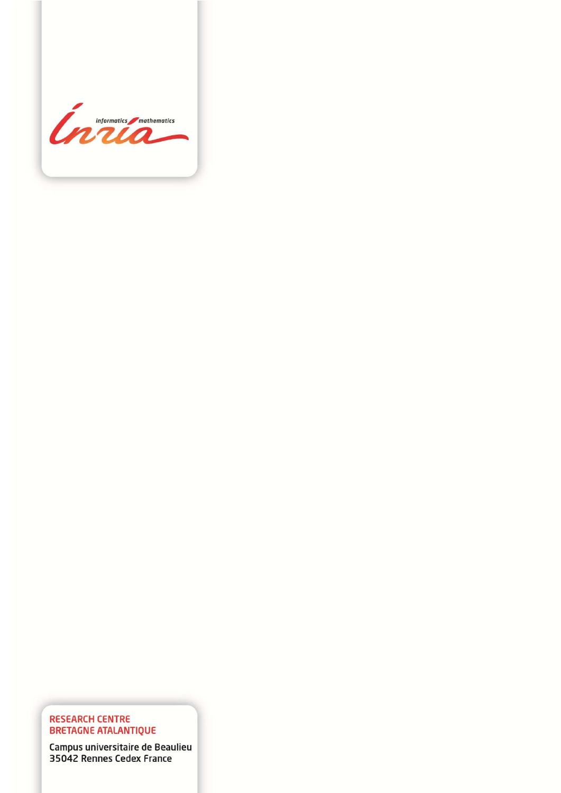

# RESEARCH CENTRE<br>BRETAGNE ATALANTIQUE

Campus universitaire de Beaulieu 35042 Rennes Cedex France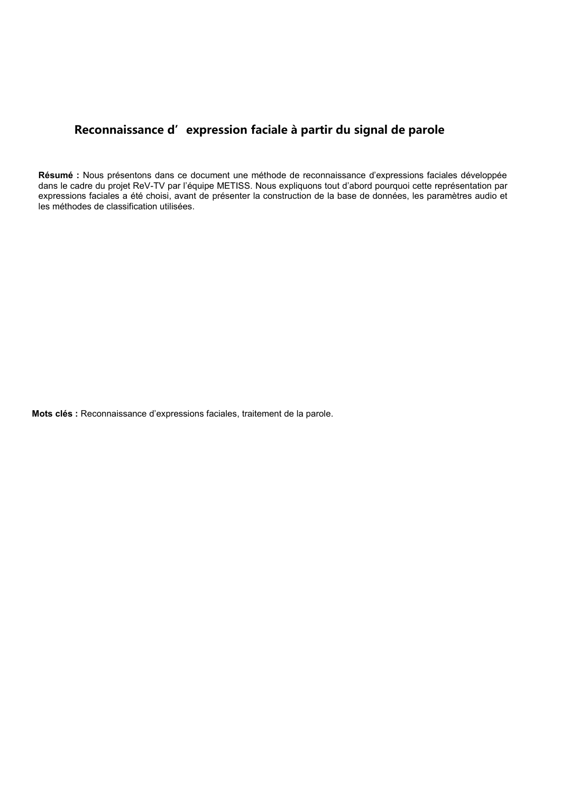### Reconnaissance d'expression faciale à partir du signal de parole

**Résumé :** Nous présentons dans ce document une méthode de reconnaissance d'expressions faciales développée dans le cadre du projet ReV-TV par l'équipe METISS. Nous expliquons tout d'abord pourquoi cette représentation par expressions faciales a été choisi, avant de présenter la construction de la base de données, les paramètres audio et les méthodes de classification utilisées.

**Mots clés :** Reconnaissance d'expressions faciales, traitement de la parole.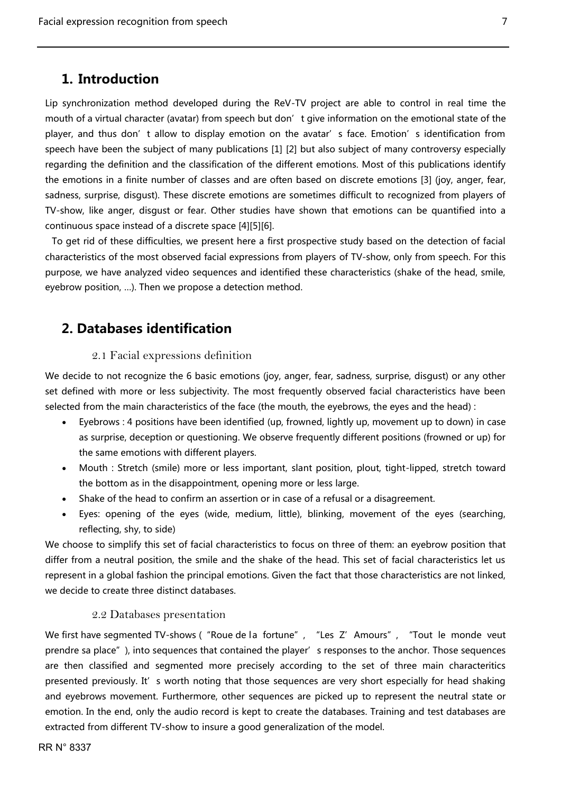## **1. Introduction**

<span id="page-7-0"></span>Lip synchronization method developed during the ReV-TV project are able to control in real time the mouth of a virtual character (avatar) from speech but don' t give information on the emotional state of the player, and thus don't allow to display emotion on the avatar's face. Emotion's identification from speech have been the subject of many publications [1] [2] but also subject of many controversy especially regarding the definition and the classification of the different emotions. Most of this publications identify the emotions in a finite number of classes and are often based on discrete emotions [3] (joy, anger, fear, sadness, surprise, disgust). These discrete emotions are sometimes difficult to recognized from players of TV-show, like anger, disgust or fear. Other studies have shown that emotions can be quantified into a continuous space instead of a discrete space [4][5][6].

 To get rid of these difficulties, we present here a first prospective study based on the detection of facial characteristics of the most observed facial expressions from players of TV-show, only from speech. For this purpose, we have analyzed video sequences and identified these characteristics (shake of the head, smile, eyebrow position, ...). Then we propose a detection method.

### <span id="page-7-1"></span>**2. Databases identification**

#### 2.1 Facial expressions definition

<span id="page-7-2"></span>We decide to not recognize the 6 basic emotions (joy, anger, fear, sadness, surprise, disgust) or any other set defined with more or less subjectivity. The most frequently observed facial characteristics have been selected from the main characteristics of the face (the mouth, the eyebrows, the eyes and the head) :

- Eyebrows : 4 positions have been identified (up, frowned, lightly up, movement up to down) in case as surprise, deception or questioning. We observe frequently different positions (frowned or up) for the same emotions with different players.
- Mouth : Stretch (smile) more or less important, slant position, plout, tight-lipped, stretch toward the bottom as in the disappointment, opening more or less large.
- Shake of the head to confirm an assertion or in case of a refusal or a disagreement.
- Eyes: opening of the eyes (wide, medium, little), blinking, movement of the eyes (searching, reflecting, shy, to side)

We choose to simplify this set of facial characteristics to focus on three of them: an eyebrow position that differ from a neutral position, the smile and the shake of the head. This set of facial characteristics let us represent in a global fashion the principal emotions. Given the fact that those characteristics are not linked, we decide to create three distinct databases.

#### 2.2 Databases presentation

<span id="page-7-3"></span>We first have segmented TV-shows ("Roue de la fortune", "Les Z' Amours", "Tout le monde veut prendre sa place"), into sequences that contained the player's responses to the anchor. Those sequences are then classified and segmented more precisely according to the set of three main characteritics presented previously. It's worth noting that those sequences are very short especially for head shaking and eyebrows movement. Furthermore, other sequences are picked up to represent the neutral state or emotion. In the end, only the audio record is kept to create the databases. Training and test databases are extracted from different TV-show to insure a good generalization of the model.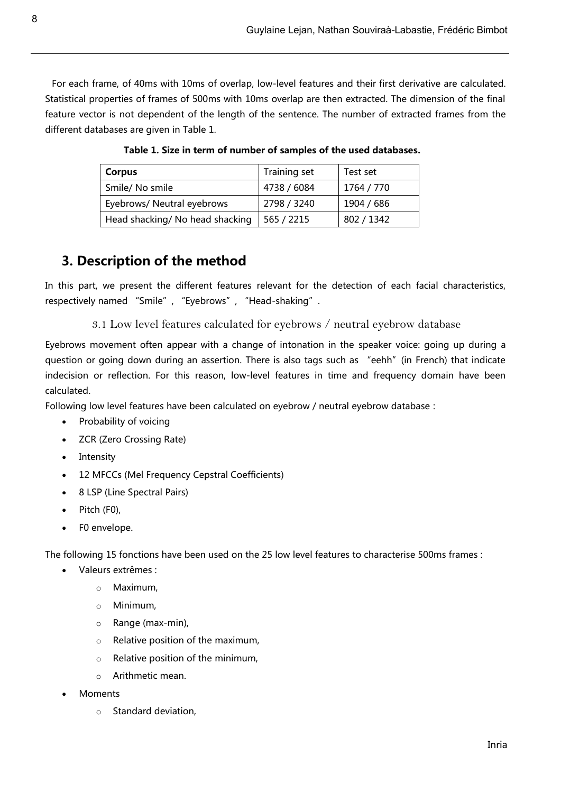<span id="page-8-2"></span> For each frame, of 40ms with 10ms of overlap, low-level features and their first derivative are calculated. Statistical properties of frames of 500ms with 10ms overlap are then extracted. The dimension of the final feature vector is not dependent of the length of the sentence. The number of extracted frames from the different databases are given in [Table 1](#page-8-2).

| Corpus                          | Training set | Test set   |
|---------------------------------|--------------|------------|
| Smile/No smile                  | 4738 / 6084  | 1764 / 770 |
| Eyebrows/ Neutral eyebrows      | 2798 / 3240  | 1904 / 686 |
| Head shacking/ No head shacking | 565 / 2215   | 802 / 1342 |

**Table 1. Size in term of number of samples of the used databases.** 

## <span id="page-8-0"></span>**3. Description of the method**

<span id="page-8-1"></span>In this part, we present the different features relevant for the detection of each facial characteristics, respectively named "Smile", "Eyebrows", "Head-shaking".

3.1 Low level features calculated for eyebrows / neutral eyebrow database

Eyebrows movement often appear with a change of intonation in the speaker voice: going up during a question or going down during an assertion. There is also tags such as "eehh" (in French) that indicate indecision or reflection. For this reason, low-level features in time and frequency domain have been calculated.

Following low level features have been calculated on eyebrow / neutral eyebrow database :

- Probability of voicing
- **ZCR (Zero Crossing Rate)**
- Intensity
- 12 MFCCs (Mel Frequency Cepstral Coefficients)
- 8 LSP (Line Spectral Pairs)
- Pitch (F0),
- F0 envelope.

The following 15 fonctions have been used on the 25 low level features to characterise 500ms frames :

- Valeurs extrêmes :
	- o Maximum,
	- o Minimum,
	- o Range (max-min),
	- o Relative position of the maximum,
	- $\circ$  Relative position of the minimum,
	- o Arithmetic mean.
- Moments
	- o Standard deviation,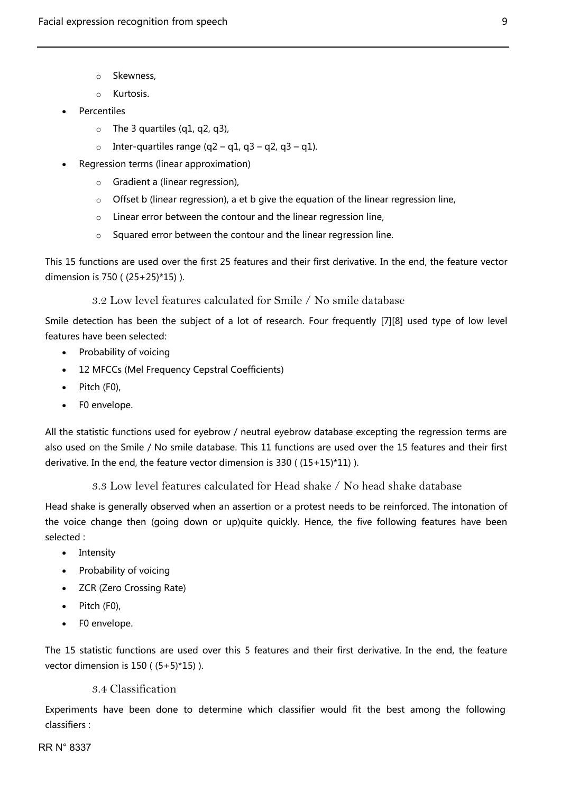- o Skewness,
- o Kurtosis.
- Percentiles
	- $\circ$  The 3 quartiles (q1, q2, q3),
	- o Inter-quartiles range  $(q2 q1, q3 q2, q3 q1)$ .
- Regression terms (linear approximation)
	- o Gradient a (linear regression),
	- o Offset b (linear regression), a et b give the equation of the linear regression line,
	- o Linear error between the contour and the linear regression line,
	- o Squared error between the contour and the linear regression line.

<span id="page-9-0"></span>This 15 functions are used over the first 25 features and their first derivative. In the end, the feature vector dimension is 750 ( (25+25)\*15) ).

3.2 Low level features calculated for Smile / No smile database

Smile detection has been the subject of a lot of research. Four frequently [7][8] used type of low level features have been selected:

- Probability of voicing
- 12 MFCCs (Mel Frequency Cepstral Coefficients)
- $\bullet$  Pitch (F0),
- F0 envelope.

All the statistic functions used for eyebrow / neutral eyebrow database excepting the regression terms are also used on the Smile / No smile database. This 11 functions are used over the 15 features and their first derivative. In the end, the feature vector dimension is 330 ( (15+15)\*11) ).

3.3 Low level features calculated for Head shake / No head shake database

<span id="page-9-1"></span>Head shake is generally observed when an assertion or a protest needs to be reinforced. The intonation of the voice change then (going down or up)quite quickly. Hence, the five following features have been selected :

- Intensity
- Probability of voicing
- **ZCR (Zero Crossing Rate)**
- $\bullet$  Pitch (F0),
- F0 envelope.

<span id="page-9-2"></span>The 15 statistic functions are used over this 5 features and their first derivative. In the end, the feature vector dimension is 150 ( (5+5)\*15) ).

#### 3.4 Classification

Experiments have been done to determine which classifier would fit the best among the following classifiers :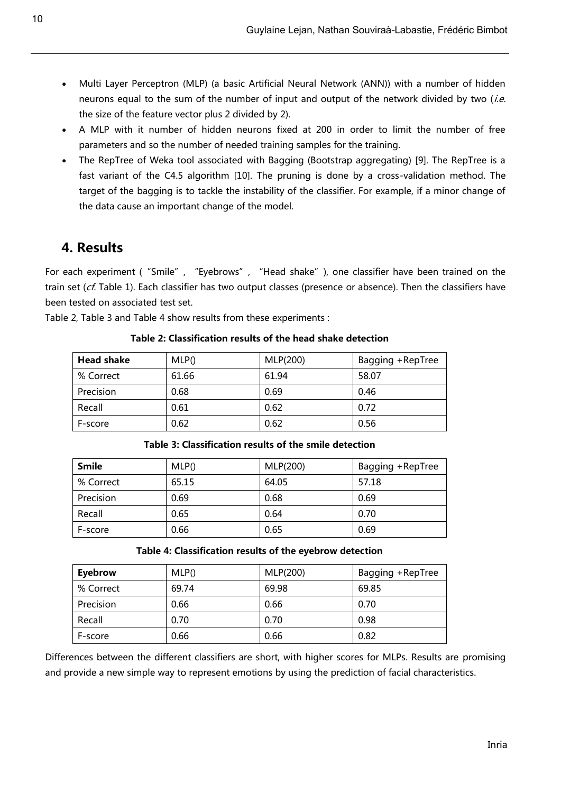- Multi Layer Perceptron (MLP) (a basic Artificial Neural Network (ANN)) with a number of hidden neurons equal to the sum of the number of input and output of the network divided by two (i.e. the size of the feature vector plus 2 divided by 2).
- A MLP with it number of hidden neurons fixed at 200 in order to limit the number of free parameters and so the number of needed training samples for the training.
- The RepTree of Weka tool associated with Bagging (Bootstrap aggregating) [9]. The RepTree is a fast variant of the C4.5 algorithm [10]. The pruning is done by a cross-validation method. The target of the bagging is to tackle the instability of the classifier. For example, if a minor change of the data cause an important change of the model.

## <span id="page-10-0"></span>**4. Results**

For each experiment ("Smile", "Eyebrows", "Head shake"), one classifier have been trained on the train set ( $cf$ . [Table 1\)](#page-8-2). Each classifier has two output classes (presence or absence). Then the classifiers have been tested on associated test set.

<span id="page-10-1"></span>[Table 2,](#page-10-1) [Table 3](#page-10-2) and [Table 4](#page-10-3) show results from these experiments :

| <b>Head shake</b> | MLP() | MLP(200) | Bagging +RepTree |
|-------------------|-------|----------|------------------|
| % Correct         | 61.66 | 61.94    | 58.07            |
| Precision         | 0.68  | 0.69     | 0.46             |
| Recall            | 0.61  | 0.62     | 0.72             |
| F-score           | 0.62  | 0.62     | 0.56             |

**Table 2: Classification results of the head shake detection** 

<span id="page-10-2"></span>

| <b>Smile</b> | MLP() | MLP(200) | Bagging +RepTree |
|--------------|-------|----------|------------------|
| % Correct    | 65.15 | 64.05    | 57.18            |
| Precision    | 0.69  | 0.68     | 0.69             |
| Recall       | 0.65  | 0.64     | 0.70             |
| F-score      | 0.66  | 0.65     | 0.69             |

**Table 3: Classification results of the smile detection** 

#### **Table 4: Classification results of the eyebrow detection**

<span id="page-10-3"></span>

| Eyebrow   | MLP() | MLP(200) | Bagging +RepTree |
|-----------|-------|----------|------------------|
| % Correct | 69.74 | 69.98    | 69.85            |
| Precision | 0.66  | 0.66     | 0.70             |
| Recall    | 0.70  | 0.70     | 0.98             |
| F-score   | 0.66  | 0.66     | 0.82             |

Differences between the different classifiers are short, with higher scores for MLPs. Results are promising and provide a new simple way to represent emotions by using the prediction of facial characteristics.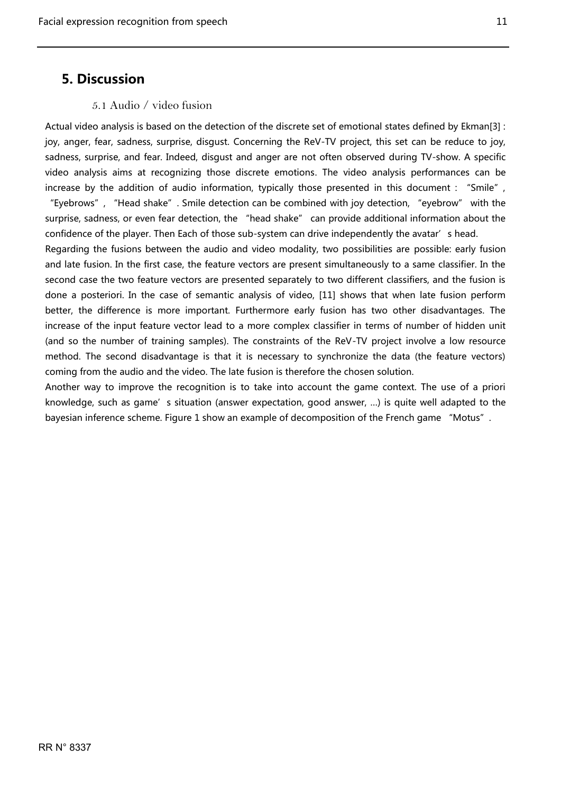## <span id="page-11-0"></span>**5. Discussion**

#### 5.1 Audio / video fusion

<span id="page-11-1"></span>Actual video analysis is based on the detection of the discrete set of emotional states defined by Ekman[3] : joy, anger, fear, sadness, surprise, disgust. Concerning the ReV-TV project, this set can be reduce to joy, sadness, surprise, and fear. Indeed, disgust and anger are not often observed during TV-show. A specific video analysis aims at recognizing those discrete emotions. The video analysis performances can be increase by the addition of audio information, typically those presented in this document : "Smile", "Eyebrows", "Head shake". Smile detection can be combined with joy detection, "eyebrow" with the surprise, sadness, or even fear detection, the "head shake" can provide additional information about the confidence of the player. Then Each of those sub-system can drive independently the avatar's head.

Regarding the fusions between the audio and video modality, two possibilities are possible: early fusion and late fusion. In the first case, the feature vectors are present simultaneously to a same classifier. In the second case the two feature vectors are presented separately to two different classifiers, and the fusion is done a posteriori. In the case of semantic analysis of video, [11] shows that when late fusion perform better, the difference is more important. Furthermore early fusion has two other disadvantages. The increase of the input feature vector lead to a more complex classifier in terms of number of hidden unit (and so the number of training samples). The constraints of the ReV-TV project involve a low resource method. The second disadvantage is that it is necessary to synchronize the data (the feature vectors) coming from the audio and the video. The late fusion is therefore the chosen solution.

Another way to improve the recognition is to take into account the game context. The use of a priori knowledge, such as game's situation (answer expectation, good answer, ...) is quite well adapted to the bayesian inference scheme. [Figure 1](#page-12-1) show an example of decomposition of the French game "Motus".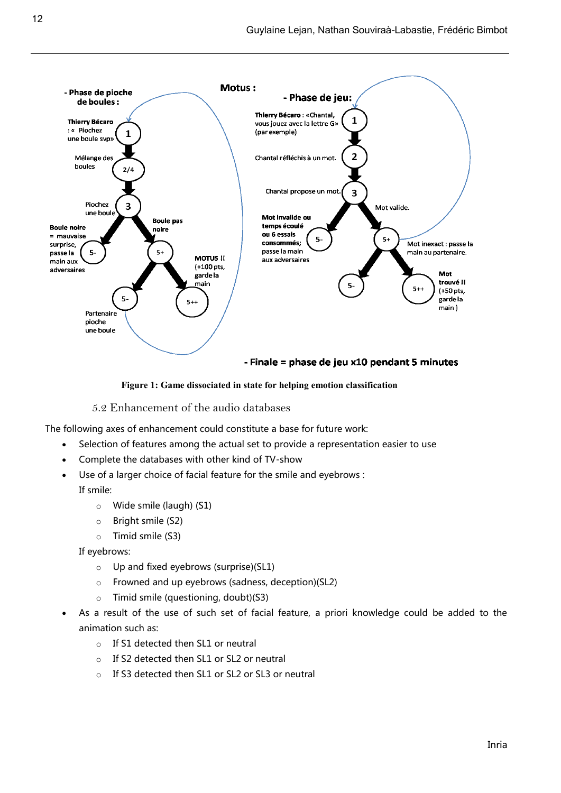

#### - Finale = phase de jeu x10 pendant 5 minutes

#### **Figure 1: Game dissociated in state for helping emotion classification**

5.2 Enhancement of the audio databases

<span id="page-12-1"></span><span id="page-12-0"></span>The following axes of enhancement could constitute a base for future work:

- Selection of features among the actual set to provide a representation easier to use
- Complete the databases with other kind of TV-show
- Use of a larger choice of facial feature for the smile and eyebrows : If smile:
	- o Wide smile (laugh) (S1)
	- o Bright smile (S2)
	- o Timid smile (S3)

If eyebrows:

- $\circ$  Up and fixed eyebrows (surprise)(SL1)
- o Frowned and up eyebrows (sadness, deception)(SL2)
- o Timid smile (questioning, doubt)(S3)
- As a result of the use of such set of facial feature, a priori knowledge could be added to the animation such as:
	- o If S1 detected then SL1 or neutral
	- o If S2 detected then SL1 or SL2 or neutral
	- o If S3 detected then SL1 or SL2 or SL3 or neutral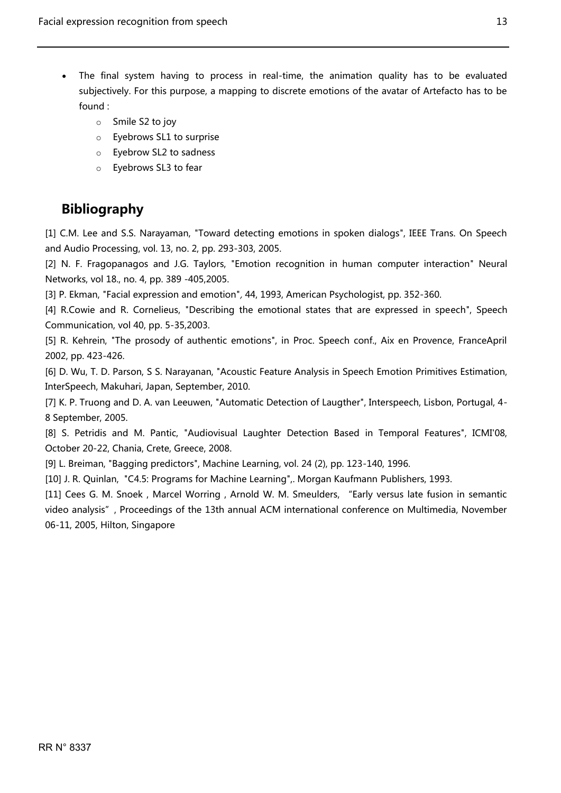- The final system having to process in real-time, the animation quality has to be evaluated subjectively. For this purpose, a mapping to discrete emotions of the avatar of Artefacto has to be found :
	- o Smile S2 to joy
	- o Eyebrows SL1 to surprise
	- o Eyebrow SL2 to sadness
	- o Eyebrows SL3 to fear

## <span id="page-13-0"></span>**Bibliography**

[1] C.M. Lee and S.S. Narayaman, "Toward detecting emotions in spoken dialogs", IEEE Trans. On Speech and Audio Processing, vol. 13, no. 2, pp. 293-303, 2005.

[2] N. F. Fragopanagos and J.G. Taylors, "Emotion recognition in human computer interaction" Neural Networks, vol 18., no. 4, pp. 389 -405,2005.

[3] P. Ekman, "Facial expression and emotion", 44, 1993, American Psychologist, pp. 352-360.

[4] R.Cowie and R. Cornelieus, "Describing the emotional states that are expressed in speech", Speech Communication, vol 40, pp. 5-35,2003.

[5] R. Kehrein, "The prosody of authentic emotions", in Proc. Speech conf., Aix en Provence, FranceApril 2002, pp. 423-426.

[6] D. Wu, T. D. Parson, S S. Narayanan, "Acoustic Feature Analysis in Speech Emotion Primitives Estimation, InterSpeech, Makuhari, Japan, September, 2010.

[7] K. P. Truong and D. A. van Leeuwen, "Automatic Detection of Laugther", Interspeech, Lisbon, Portugal, 4- 8 September, 2005.

[8] S. Petridis and M. Pantic, "Audiovisual Laughter Detection Based in Temporal Features", ICMI'08, October 20-22, Chania, Crete, Greece, 2008.

[9] L. Breiman, "Bagging predictors", Machine Learning, vol. 24 (2), pp. 123-140, 1996.

[10] J. R. Quinlan, "C4.5: Programs for Machine Learning",. Morgan Kaufmann Publishers, 1993.

[11] Cees G. M. Snoek, Marcel Worring, Arnold W. M. Smeulders, "Early versus late fusion in semantic video analysis", Proceedings of the 13th annual ACM international conference on Multimedia, November 06-11, 2005, Hilton, Singapore